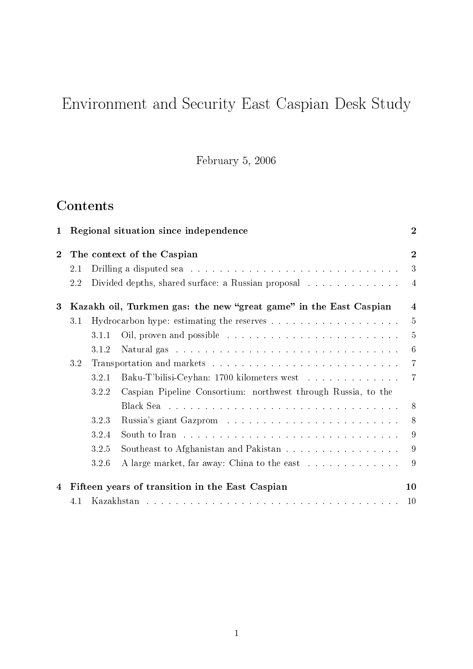# Environment and Security East Caspian Desk Study

February 5, 2006

# **Contents**

| $\mathbf 1$    | Regional situation since independence                             |       |                                                                                          | $\overline{2}$ |
|----------------|-------------------------------------------------------------------|-------|------------------------------------------------------------------------------------------|----------------|
| $\overline{2}$ | The context of the Caspian                                        |       | $\overline{2}$                                                                           |                |
|                | 2.1                                                               |       | Drilling a disputed sea $\ldots \ldots \ldots \ldots \ldots \ldots \ldots \ldots \ldots$ | 3              |
|                | 2.2                                                               |       | Divided depths, shared surface: a Russian proposal                                       | $\overline{4}$ |
| $\bf{3}$       | Kazakh oil, Turkmen gas: the new "great game" in the East Caspian |       |                                                                                          | 4              |
|                | 3.1                                                               |       |                                                                                          | $\overline{5}$ |
|                |                                                                   | 3.1.1 |                                                                                          | $\overline{5}$ |
|                |                                                                   | 3.1.2 |                                                                                          | 6              |
|                | 3.2                                                               |       | 7                                                                                        |                |
|                |                                                                   | 3.2.1 | Baku-T'bilisi-Ceyhan: 1700 kilometers west                                               | $\overline{7}$ |
|                |                                                                   | 3.2.2 | Caspian Pipeline Consortium: northwest through Russia, to the                            |                |
|                |                                                                   |       |                                                                                          | 8              |
|                |                                                                   | 3.2.3 |                                                                                          | -8             |
|                |                                                                   | 3.2.4 |                                                                                          | 9              |
|                |                                                                   | 3.2.5 | Southeast to Afghanistan and Pakistan                                                    | 9              |
|                |                                                                   | 3.2.6 |                                                                                          | 9              |
| 4              | Fifteen years of transition in the East Caspian                   |       |                                                                                          | 10             |
|                | 4.1                                                               |       |                                                                                          | 10             |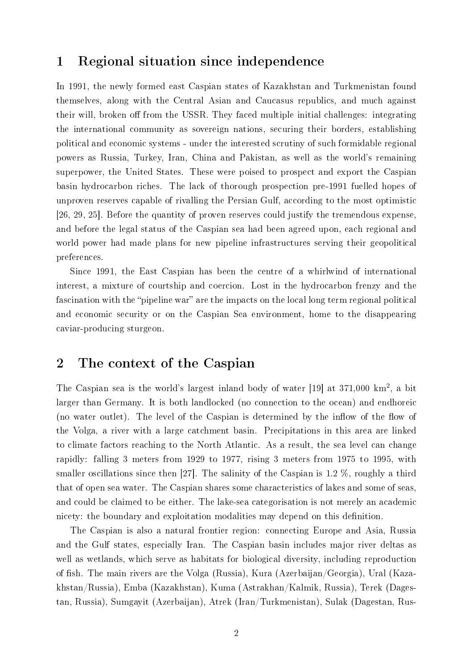# 1 Regional situation since independence

In 1991, the newly formed east Caspian states of Kazakhstan and Turkmenistan found themselves, along with the Central Asian and Caucasus republics, and much against their will, broken off from the USSR. They faced multiple initial challenges: integrating the international community as sovereign nations, securing their borders, establishing political and economic systems - under the interested scrutiny of such formidable regional powers as Russia, Turkey, Iran, China and Pakistan, as well as the world's remaining superpower, the United States. These were poised to prospect and export the Caspian basin hydrocarbon riches. The lack of thorough prospection pre-1991 fuelled hopes of unproven reserves capable of rivalling the Persian Gulf, according to the most optimistic [26, 29, 25]. Before the quantity of proven reserves could justify the tremendous expense, and before the legal status of the Caspian sea had been agreed upon, each regional and world power had made plans for new pipeline infrastructures serving their geopolitical preferences.

Since 1991, the East Caspian has been the centre of a whirlwind of international interest, a mixture of courtship and coercion. Lost in the hydrocarbon frenzy and the fascination with the "pipeline war" are the impacts on the local long term regional political and economic security or on the Caspian Sea environment, home to the disappearing caviar-producing sturgeon.

# 2 The context of the Caspian

The Caspian sea is the world's largest inland body of water [19] at 371,000 km<sup>2</sup>, a bit larger than Germany. It is both landlocked (no connection to the ocean) and endhoreic (no water outlet). The level of the Caspian is determined by the inflow of the flow of the Volga, a river with a large catchment basin. Precipitations in this area are linked to climate factors reaching to the North Atlantic. As a result, the sea level can change rapidly: falling 3 meters from 1929 to 1977, rising 3 meters from 1975 to 1995, with smaller oscillations since then [27]. The salinity of the Caspian is 1.2 %, roughly a third that of open sea water. The Caspian shares some characteristics of lakes and some of seas, and could be claimed to be either. The lake-sea categorisation is not merely an academic nicety: the boundary and exploitation modalities may depend on this definition.

The Caspian is also a natural frontier region: connecting Europe and Asia, Russia and the Gulf states, especially Iran. The Caspian basin includes major river deltas as well as wetlands, which serve as habitats for biological diversity, including reproduction of fish. The main rivers are the Volga (Russia), Kura (Azerbaijan/Georgia), Ural (Kazakhstan/Russia), Emba (Kazakhstan), Kuma (Astrakhan/Kalmik, Russia), Terek (Dagestan, Russia), Sumgayit (Azerbaijan), Atrek (Iran/Turkmenistan), Sulak (Dagestan, Rus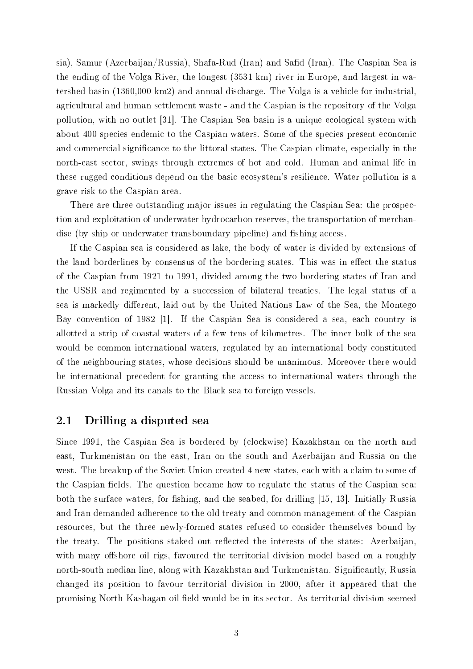sia), Samur (Azerbaijan/Russia), Shafa-Rud (Iran) and Safid (Iran). The Caspian Sea is the ending of the Volga River, the longest (3531 km) river in Europe, and largest in watershed basin (1360,000 km2) and annual discharge. The Volga is a vehicle for industrial, agricultural and human settlement waste - and the Caspian is the repository of the Volga pollution, with no outlet [31]. The Caspian Sea basin is a unique ecological system with about 400 species endemic to the Caspian waters. Some of the species present economic and commercial significance to the littoral states. The Caspian climate, especially in the north-east sector, swings through extremes of hot and cold. Human and animal life in these rugged conditions depend on the basic ecosystem's resilience. Water pollution is a grave risk to the Caspian area.

There are three outstanding major issues in regulating the Caspian Sea: the prospection and exploitation of underwater hydrocarbon reserves, the transportation of merchandise (by ship or underwater transboundary pipeline) and fishing access.

If the Caspian sea is considered as lake, the body of water is divided by extensions of the land borderlines by consensus of the bordering states. This was in effect the status of the Caspian from 1921 to 1991, divided among the two bordering states of Iran and the USSR and regimented by a succession of bilateral treaties. The legal status of a sea is markedly different, laid out by the United Nations Law of the Sea, the Montego Bay convention of 1982 [1]. If the Caspian Sea is considered a sea, each country is allotted a strip of coastal waters of a few tens of kilometres. The inner bulk of the sea would be common international waters, regulated by an international body constituted of the neighbouring states, whose decisions should be unanimous. Moreover there would be international precedent for granting the access to international waters through the Russian Volga and its canals to the Black sea to foreign vessels.

### 2.1 Drilling a disputed sea

Since 1991, the Caspian Sea is bordered by (clockwise) Kazakhstan on the north and east, Turkmenistan on the east, Iran on the south and Azerbaijan and Russia on the west. The breakup of the Soviet Union created 4 new states, each with a claim to some of the Caspian fields. The question became how to regulate the status of the Caspian sea: both the surface waters, for fishing, and the seabed, for drilling [15, 13]. Initially Russia and Iran demanded adherence to the old treaty and common management of the Caspian resources, but the three newly-formed states refused to consider themselves bound by the treaty. The positions staked out reflected the interests of the states: Azerbaijan, with many offshore oil rigs, favoured the territorial division model based on a roughly north-south median line, along with Kazakhstan and Turkmenistan. Significantly, Russia changed its position to favour territorial division in 2000, after it appeared that the promising North Kashagan oil field would be in its sector. As territorial division seemed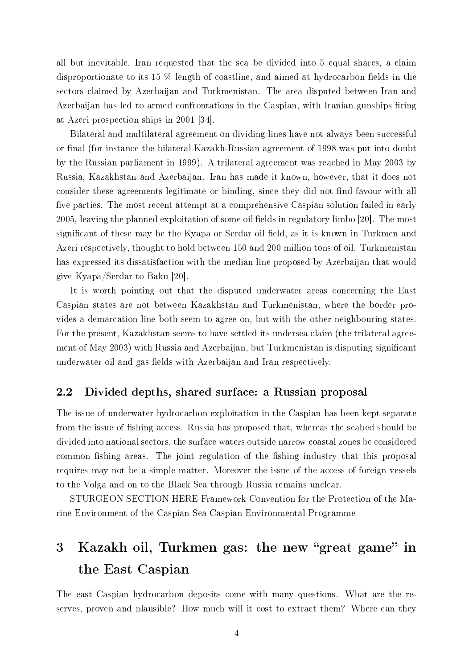all but inevitable, Iran requested that the sea be divided into 5 equal shares, a claim disproportionate to its 15  $\%$  length of coastline, and aimed at hydrocarbon fields in the sectors claimed by Azerbaijan and Turkmenistan. The area disputed between Iran and Azerbaijan has led to armed confrontations in the Caspian, with Iranian gunships firing at Azeri prospection ships in 2001 [34].

Bilateral and multilateral agreement on dividing lines have not always been successful or final (for instance the bilateral Kazakh-Russian agreement of 1998 was put into doubt by the Russian parliament in 1999). A trilateral agreement was reached in May 2003 by Russia, Kazakhstan and Azerbaijan. Iran has made it known, however, that it does not consider these agreements legitimate or binding, since they did not find favour with all five parties. The most recent attempt at a comprehensive Caspian solution failed in early 2005, leaving the planned exploitation of some oil fields in regulatory limbo  $[20]$ . The most significant of these may be the Kyapa or Serdar oil field, as it is known in Turkmen and Azeri respectively, thought to hold between 150 and 200 million tons of oil. Turkmenistan has expressed its dissatisfaction with the median line proposed by Azerbaijan that would give Kyapa/Serdar to Baku [20].

It is worth pointing out that the disputed underwater areas concerning the East Caspian states are not between Kazakhstan and Turkmenistan, where the border provides a demarcation line both seem to agree on, but with the other neighbouring states. For the present, Kazakhstan seems to have settled its undersea claim (the trilateral agreement of May 2003) with Russia and Azerbaijan, but Turkmenistan is disputing signicant underwater oil and gas fields with Azerbaijan and Iran respectively.

## 2.2 Divided depths, shared surface: a Russian proposal

The issue of underwater hydrocarbon exploitation in the Caspian has been kept separate from the issue of fishing access. Russia has proposed that, whereas the seabed should be divided into national sectors, the surface waters outside narrow coastal zones be considered common fishing areas. The joint regulation of the fishing industry that this proposal requires may not be a simple matter. Moreover the issue of the access of foreign vessels to the Volga and on to the Black Sea through Russia remains unclear.

STURGEON SECTION HERE Framework Convention for the Protection of the Marine Environment of the Caspian Sea Caspian Environmental Programme

# 3 Kazakh oil, Turkmen gas: the new "great game" in the East Caspian

The east Caspian hydrocarbon deposits come with many questions. What are the reserves, proven and plausible? How much will it cost to extract them? Where can they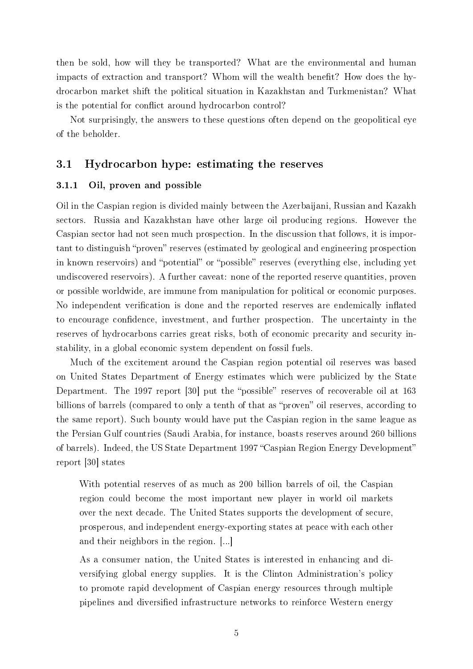then be sold, how will they be transported? What are the environmental and human impacts of extraction and transport? Whom will the wealth benefit? How does the hydrocarbon market shift the political situation in Kazakhstan and Turkmenistan? What is the potential for conflict around hydrocarbon control?

Not surprisingly, the answers to these questions often depend on the geopolitical eye of the beholder.

## 3.1 Hydrocarbon hype: estimating the reserves

#### 3.1.1 Oil, proven and possible

Oil in the Caspian region is divided mainly between the Azerbaijani, Russian and Kazakh sectors. Russia and Kazakhstan have other large oil producing regions. However the Caspian sector had not seen much prospection. In the discussion that follows, it is important to distinguish "proven" reserves (estimated by geological and engineering prospection in known reservoirs) and "potential" or "possible" reserves (everything else, including yet undiscovered reservoirs). A further caveat: none of the reported reserve quantities, proven or possible worldwide, are immune from manipulation for political or economic purposes. No independent verification is done and the reported reserves are endemically inflated to encourage confidence, investment, and further prospection. The uncertainty in the reserves of hydrocarbons carries great risks, both of economic precarity and security instability, in a global economic system dependent on fossil fuels.

Much of the excitement around the Caspian region potential oil reserves was based on United States Department of Energy estimates which were publicized by the State Department. The 1997 report [30] put the "possible" reserves of recoverable oil at 163 billions of barrels (compared to only a tenth of that as "proven" oil reserves, according to the same report). Such bounty would have put the Caspian region in the same league as the Persian Gulf countries (Saudi Arabia, for instance, boasts reserves around 260 billions of barrels). Indeed, the US State Department 1997 "Caspian Region Energy Development" report [30] states

With potential reserves of as much as 200 billion barrels of oil, the Caspian region could become the most important new player in world oil markets over the next decade. The United States supports the development of secure, prosperous, and independent energy-exporting states at peace with each other and their neighbors in the region. [...]

As a consumer nation, the United States is interested in enhancing and diversifying global energy supplies. It is the Clinton Administration's policy to promote rapid development of Caspian energy resources through multiple pipelines and diversified infrastructure networks to reinforce Western energy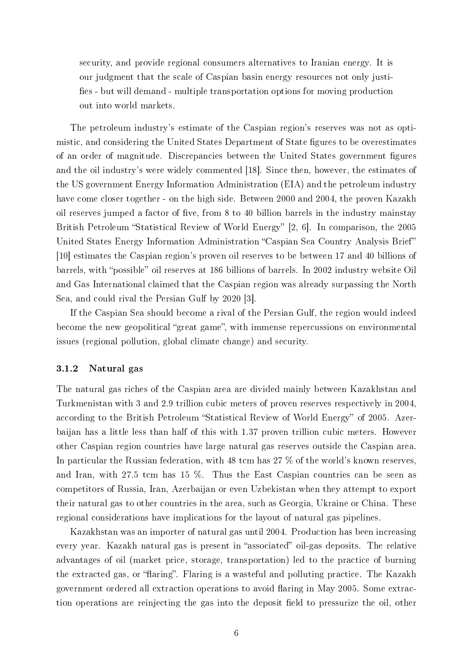security, and provide regional consumers alternatives to Iranian energy. It is our judgment that the scale of Caspian basin energy resources not only justi fies - but will demand - multiple transportation options for moving production out into world markets.

The petroleum industry's estimate of the Caspian region's reserves was not as optimistic, and considering the United States Department of State figures to be overestimates of an order of magnitude. Discrepancies between the United States government figures and the oil industry's were widely commented [18]. Since then, however, the estimates of the US government Energy Information Administration (EIA) and the petroleum industry have come closer together - on the high side. Between 2000 and 2004, the proven Kazakh oil reserves jumped a factor of five, from 8 to 40 billion barrels in the industry mainstay British Petroleum "Statistical Review of World Energy" [2, 6]. In comparison, the 2005 United States Energy Information Administration "Caspian Sea Country Analysis Brief" [10] estimates the Caspian region's proven oil reserves to be between 17 and 40 billions of barrels, with "possible" oil reserves at 186 billions of barrels. In 2002 industry website Oil and Gas International claimed that the Caspian region was already surpassing the North Sea, and could rival the Persian Gulf by 2020 [3].

If the Caspian Sea should become a rival of the Persian Gulf, the region would indeed become the new geopolitical "great game", with immense repercussions on environmental issues (regional pollution, global climate change) and security.

## 3.1.2 Natural gas

The natural gas riches of the Caspian area are divided mainly between Kazakhstan and Turkmenistan with 3 and 2.9 trillion cubic meters of proven reserves respectively in 2004, according to the British Petroleum "Statistical Review of World Energy" of 2005. Azerbaijan has a little less than half of this with 1.37 proven trillion cubic meters. However other Caspian region countries have large natural gas reserves outside the Caspian area. In particular the Russian federation, with 48 tcm has 27 % of the world's known reserves, and Iran, with 27.5 tcm has 15 %. Thus the East Caspian countries can be seen as competitors of Russia, Iran, Azerbaijan or even Uzbekistan when they attempt to export their natural gas to other countries in the area, such as Georgia, Ukraine or China. These regional considerations have implications for the layout of natural gas pipelines.

Kazakhstan was an importer of natural gas until 2004. Production has been increasing every year. Kazakh natural gas is present in "associated" oil-gas deposits. The relative advantages of oil (market price, storage, transportation) led to the practice of burning the extracted gas, or "flaring". Flaring is a wasteful and polluting practice. The Kazakh government ordered all extraction operations to avoid aring in May 2005. Some extraction operations are reinjecting the gas into the deposit field to pressurize the oil, other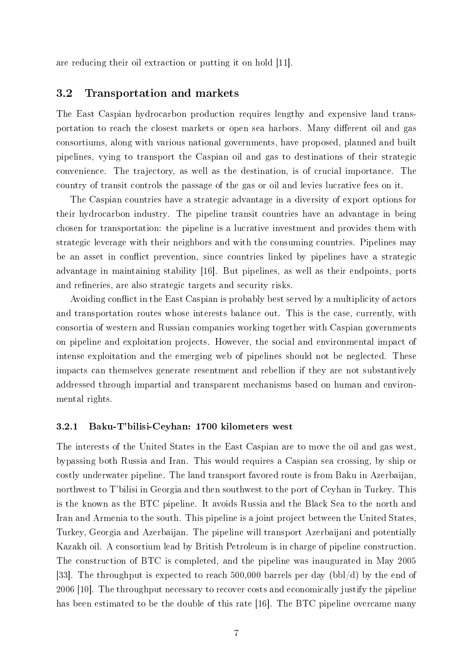are reducing their oil extraction or putting it on hold [11].

## 3.2 Transportation and markets

The East Caspian hydrocarbon production requires lengthy and expensive land transportation to reach the closest markets or open sea harbors. Many different oil and gas consortiums, along with various national governments, have proposed, planned and built pipelines, vying to transport the Caspian oil and gas to destinations of their strategic convenience. The trajectory, as well as the destination, is of crucial importance. The country of transit controls the passage of the gas or oil and levies lucrative fees on it.

The Caspian countries have a strategic advantage in a diversity of export options for their hydrocarbon industry. The pipeline transit countries have an advantage in being chosen for transportation: the pipeline is a lucrative investment and provides them with strategic leverage with their neighbors and with the consuming countries. Pipelines may be an asset in conflict prevention, since countries linked by pipelines have a strategic advantage in maintaining stability [16]. But pipelines, as well as their endpoints, ports and refineries, are also strategic targets and security risks.

Avoiding conflict in the East Caspian is probably best served by a multiplicity of actors and transportation routes whose interests balance out. This is the case, currently, with consortia of western and Russian companies working together with Caspian governments on pipeline and exploitation projects. However, the social and environmental impact of intense exploitation and the emerging web of pipelines should not be neglected. These impacts can themselves generate resentment and rebellion if they are not substantively addressed through impartial and transparent mechanisms based on human and environmental rights.

#### 3.2.1 Baku-T'bilisi-Ceyhan: 1700 kilometers west

The interests of the United States in the East Caspian are to move the oil and gas west, bypassing both Russia and Iran. This would requires a Caspian sea crossing, by ship or costly underwater pipeline. The land transport favored route is from Baku in Azerbaijan, northwest to T'bilisi in Georgia and then southwest to the port of Ceyhan in Turkey. This is the known as the BTC pipeline. It avoids Russia and the Black Sea to the north and Iran and Armenia to the south. This pipeline is a joint project between the United States, Turkey, Georgia and Azerbaijan. The pipeline will transport Azerbaijani and potentially Kazakh oil. A consortium lead by British Petroleum is in charge of pipeline construction. The construction of BTC is completed, and the pipeline was inaugurated in May 2005 [33]. The throughput is expected to reach 500,000 barrels per day (bbl/d) by the end of 2006 [10]. The throughput necessary to recover costs and economically justify the pipeline has been estimated to be the double of this rate [16]. The BTC pipeline overcame many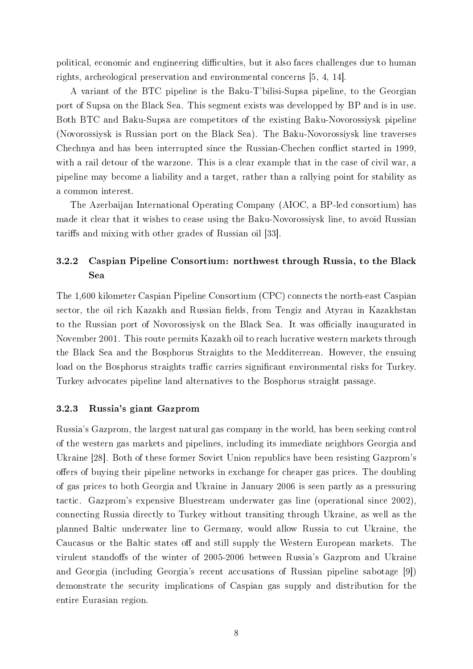political, economic and engineering difficulties, but it also faces challenges due to human rights, archeological preservation and environmental concerns [5, 4, 14].

A variant of the BTC pipeline is the Baku-T'bilisi-Supsa pipeline, to the Georgian port of Supsa on the Black Sea. This segment exists was developped by BP and is in use. Both BTC and Baku-Supsa are competitors of the existing Baku-Novorossiysk pipeline (Novorossiysk is Russian port on the Black Sea). The Baku-Novorossiysk line traverses Chechnya and has been interrupted since the Russian-Chechen conflict started in 1999, with a rail detour of the warzone. This is a clear example that in the case of civil war, a pipeline may become a liability and a target, rather than a rallying point for stability as a common interest.

The Azerbaijan International Operating Company (AIOC, a BP-led consortium) has made it clear that it wishes to cease using the Baku-Novorossiysk line, to avoid Russian tariffs and mixing with other grades of Russian oil [33].

## 3.2.2 Caspian Pipeline Consortium: northwest through Russia, to the Black Sea

The 1,600 kilometer Caspian Pipeline Consortium (CPC) connects the north-east Caspian sector, the oil rich Kazakh and Russian fields, from Tengiz and Atyrau in Kazakhstan to the Russian port of Novorossiysk on the Black Sea. It was officially inaugurated in November 2001. This route permits Kazakh oil to reach lucrative western markets through the Black Sea and the Bosphorus Straights to the Medditerrean. However, the ensuing load on the Bosphorus straights traffic carries significant environmental risks for Turkey. Turkey advocates pipeline land alternatives to the Bosphorus straight passage.

### 3.2.3 Russia's giant Gazprom

Russia's Gazprom, the largest natural gas company in the world, has been seeking control of the western gas markets and pipelines, including its immediate neighbors Georgia and Ukraine [28]. Both of these former Soviet Union republics have been resisting Gazprom's offers of buying their pipeline networks in exchange for cheaper gas prices. The doubling of gas prices to both Georgia and Ukraine in January 2006 is seen partly as a pressuring tactic. Gazprom's expensive Bluestream underwater gas line (operational since 2002), connecting Russia directly to Turkey without transiting through Ukraine, as well as the planned Baltic underwater line to Germany, would allow Russia to cut Ukraine, the Caucasus or the Baltic states off and still supply the Western European markets. The virulent standoffs of the winter of 2005-2006 between Russia's Gazprom and Ukraine and Georgia (including Georgia's recent accusations of Russian pipeline sabotage [9]) demonstrate the security implications of Caspian gas supply and distribution for the entire Eurasian region.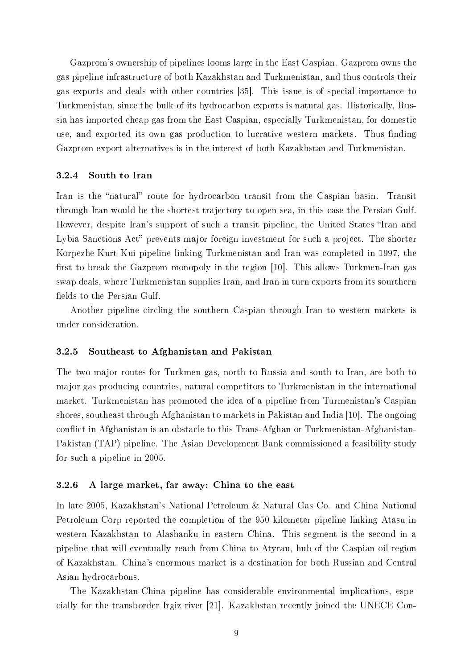Gazprom's ownership of pipelines looms large in the East Caspian. Gazprom owns the gas pipeline infrastructure of both Kazakhstan and Turkmenistan, and thus controls their gas exports and deals with other countries [35]. This issue is of special importance to Turkmenistan, since the bulk of its hydrocarbon exports is natural gas. Historically, Russia has imported cheap gas from the East Caspian, especially Turkmenistan, for domestic use, and exported its own gas production to lucrative western markets. Thus finding Gazprom export alternatives is in the interest of both Kazakhstan and Turkmenistan.

#### 3.2.4 South to Iran

Iran is the "natural" route for hydrocarbon transit from the Caspian basin. Transit through Iran would be the shortest trajectory to open sea, in this case the Persian Gulf. However, despite Iran's support of such a transit pipeline, the United States "Iran and Lybia Sanctions Act" prevents major foreign investment for such a project. The shorter Korpezhe-Kurt Kui pipeline linking Turkmenistan and Iran was completed in 1997, the first to break the Gazprom monopoly in the region  $[10]$ . This allows Turkmen-Iran gas swap deals, where Turkmenistan supplies Iran, and Iran in turn exports from its sourthern fields to the Persian Gulf.

Another pipeline circling the southern Caspian through Iran to western markets is under consideration.

#### 3.2.5 Southeast to Afghanistan and Pakistan

The two major routes for Turkmen gas, north to Russia and south to Iran, are both to major gas producing countries, natural competitors to Turkmenistan in the international market. Turkmenistan has promoted the idea of a pipeline from Turmenistan's Caspian shores, southeast through Afghanistan to markets in Pakistan and India [10]. The ongoing conflict in Afghanistan is an obstacle to this Trans-Afghan or Turkmenistan-Afghanistan-Pakistan (TAP) pipeline. The Asian Development Bank commissioned a feasibility study for such a pipeline in 2005.

#### 3.2.6 A large market, far away: China to the east

In late 2005, Kazakhstan's National Petroleum & Natural Gas Co. and China National Petroleum Corp reported the completion of the 950 kilometer pipeline linking Atasu in western Kazakhstan to Alashanku in eastern China. This segment is the second in a pipeline that will eventually reach from China to Atyrau, hub of the Caspian oil region of Kazakhstan. China's enormous market is a destination for both Russian and Central Asian hydrocarbons.

The Kazakhstan-China pipeline has considerable environmental implications, especially for the transborder Irgiz river [21]. Kazakhstan recently joined the UNECE Con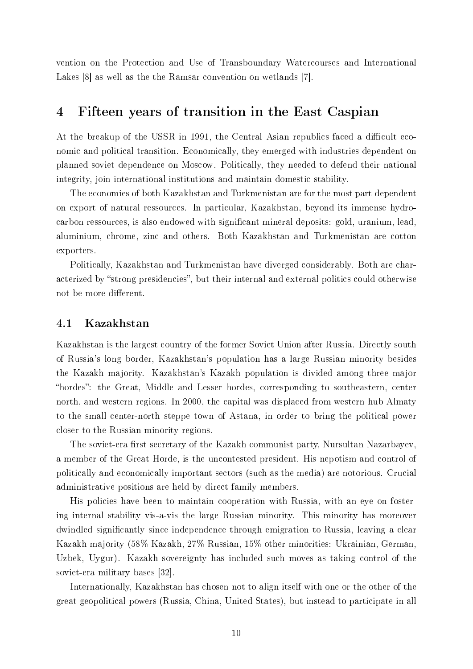vention on the Protection and Use of Transboundary Watercourses and International Lakes [8] as well as the the Ramsar convention on wetlands [7].

# 4 Fifteen years of transition in the East Caspian

At the breakup of the USSR in 1991, the Central Asian republics faced a difficult economic and political transition. Economically, they emerged with industries dependent on planned soviet dependence on Moscow. Politically, they needed to defend their national integrity, join international institutions and maintain domestic stability.

The economies of both Kazakhstan and Turkmenistan are for the most part dependent on export of natural ressources. In particular, Kazakhstan, beyond its immense hydrocarbon ressources, is also endowed with significant mineral deposits: gold, uranium, lead, aluminium, chrome, zinc and others. Both Kazakhstan and Turkmenistan are cotton exporters.

Politically, Kazakhstan and Turkmenistan have diverged considerably. Both are characterized by "strong presidencies", but their internal and external politics could otherwise not be more different.

### 4.1 Kazakhstan

Kazakhstan is the largest country of the former Soviet Union after Russia. Directly south of Russia's long border, Kazakhstan's population has a large Russian minority besides the Kazakh majority. Kazakhstan's Kazakh population is divided among three major "hordes": the Great, Middle and Lesser hordes, corresponding to southeastern, center north, and western regions. In 2000, the capital was displaced from western hub Almaty to the small center-north steppe town of Astana, in order to bring the political power closer to the Russian minority regions.

The soviet-era first secretary of the Kazakh communist party, Nursultan Nazarbayev, a member of the Great Horde, is the uncontested president. His nepotism and control of politically and economically important sectors (such as the media) are notorious. Crucial administrative positions are held by direct family members.

His policies have been to maintain cooperation with Russia, with an eye on fostering internal stability vis-a-vis the large Russian minority. This minority has moreover dwindled signicantly since independence through emigration to Russia, leaving a clear Kazakh majority (58% Kazakh, 27% Russian, 15% other minorities: Ukrainian, German, Uzbek, Uygur). Kazakh sovereignty has included such moves as taking control of the soviet-era military bases [32].

Internationally, Kazakhstan has chosen not to align itself with one or the other of the great geopolitical powers (Russia, China, United States), but instead to participate in all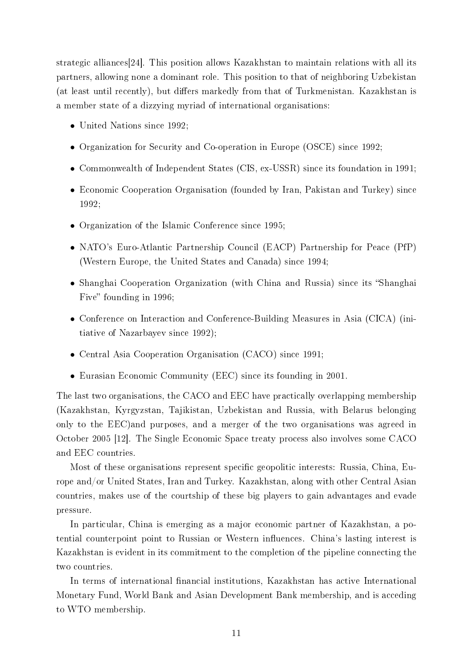strategic alliances[24]. This position allows Kazakhstan to maintain relations with all its partners, allowing none a dominant role. This position to that of neighboring Uzbekistan (at least until recently), but differs markedly from that of Turkmenistan. Kazakhstan is a member state of a dizzying myriad of international organisations:

- United Nations since 1992;
- Organization for Security and Co-operation in Europe (OSCE) since 1992;
- Commonwealth of Independent States (CIS, ex-USSR) since its foundation in 1991;
- Economic Cooperation Organisation (founded by Iran, Pakistan and Turkey) since 1992;
- Organization of the Islamic Conference since 1995;
- NATO's Euro-Atlantic Partnership Council (EACP) Partnership for Peace (PfP) (Western Europe, the United States and Canada) since 1994;
- Shanghai Cooperation Organization (with China and Russia) since its "Shanghai Five" founding in 1996;
- Conference on Interaction and Conference-Building Measures in Asia (CICA) (initiative of Nazarbayev since 1992);
- Central Asia Cooperation Organisation (CACO) since 1991;
- Eurasian Economic Community (EEC) since its founding in 2001.

The last two organisations, the CACO and EEC have practically overlapping membership (Kazakhstan, Kyrgyzstan, Tajikistan, Uzbekistan and Russia, with Belarus belonging only to the EEC)and purposes, and a merger of the two organisations was agreed in October 2005 [12]. The Single Economic Space treaty process also involves some CACO and EEC countries.

Most of these organisations represent specific geopolitic interests: Russia, China, Europe and/or United States, Iran and Turkey. Kazakhstan, along with other Central Asian countries, makes use of the courtship of these big players to gain advantages and evade pressure.

In particular, China is emerging as a major economic partner of Kazakhstan, a potential counterpoint point to Russian or Western influences. China's lasting interest is Kazakhstan is evident in its commitment to the completion of the pipeline connecting the two countries.

In terms of international financial institutions, Kazakhstan has active International Monetary Fund, World Bank and Asian Development Bank membership, and is acceding to WTO membership.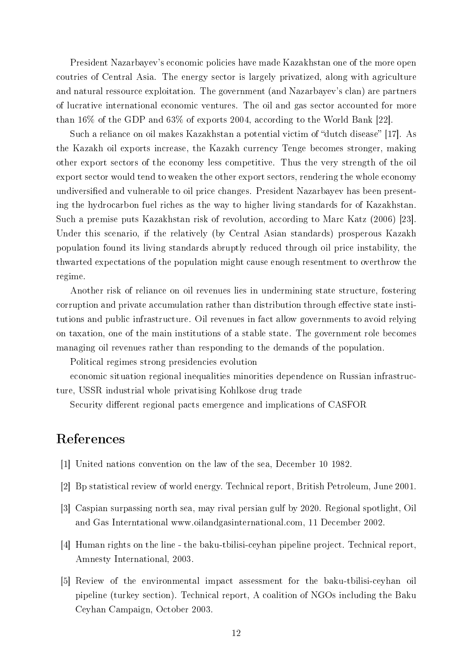President Nazarbayev's economic policies have made Kazakhstan one of the more open coutries of Central Asia. The energy sector is largely privatized, along with agriculture and natural ressource exploitation. The government (and Nazarbayev's clan) are partners of lucrative international economic ventures. The oil and gas sector accounted for more than 16% of the GDP and 63% of exports 2004, according to the World Bank [22].

Such a reliance on oil makes Kazakhstan a potential victim of "dutch disease" [17]. As the Kazakh oil exports increase, the Kazakh currency Tenge becomes stronger, making other export sectors of the economy less competitive. Thus the very strength of the oil export sector would tend to weaken the other export sectors, rendering the whole economy undiversified and vulnerable to oil price changes. President Nazarbayev has been presenting the hydrocarbon fuel riches as the way to higher living standards for of Kazakhstan. Such a premise puts Kazakhstan risk of revolution, according to Marc Katz (2006) [23]. Under this scenario, if the relatively (by Central Asian standards) prosperous Kazakh population found its living standards abruptly reduced through oil price instability, the thwarted expectations of the population might cause enough resentment to overthrow the regime.

Another risk of reliance on oil revenues lies in undermining state structure, fostering corruption and private accumulation rather than distribution through effective state institutions and public infrastructure. Oil revenues in fact allow governments to avoid relying on taxation, one of the main institutions of a stable state. The government role becomes managing oil revenues rather than responding to the demands of the population.

Political regimes strong presidencies evolution

economic situation regional inequalities minorities dependence on Russian infrastructure, USSR industrial whole privatising Kohlkose drug trade

Security different regional pacts emergence and implications of CASFOR

# References

- [1] United nations convention on the law of the sea, December 10 1982.
- [2] Bp statistical review of world energy. Technical report, British Petroleum, June 2001.
- [3] Caspian surpassing north sea, may rival persian gulf by 2020. Regional spotlight, Oil and Gas Interntational www.oilandgasinternational.com, 11 December 2002.
- [4] Human rights on the line the baku-tbilisi-ceyhan pipeline project. Technical report, Amnesty International, 2003.
- [5] Review of the environmental impact assessment for the baku-tbilisi-ceyhan oil pipeline (turkey section). Technical report, A coalition of NGOs including the Baku Ceyhan Campaign, October 2003.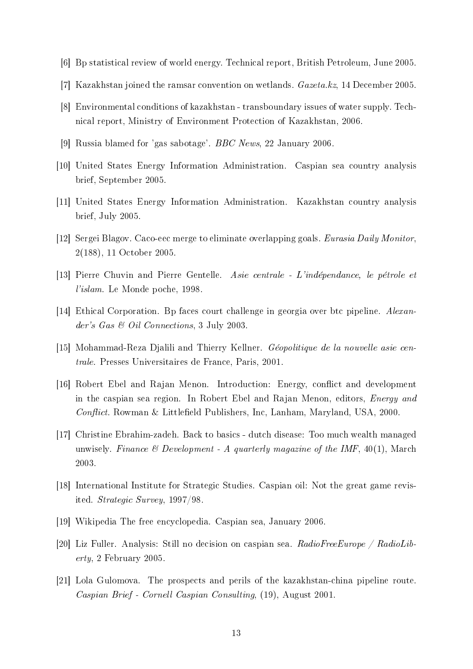- [6] Bp statistical review of world energy. Technical report, British Petroleum, June 2005.
- [7] Kazakhstan joined the ramsar convention on wetlands. Gazeta.kz, 14 December 2005.
- [8] Environmental conditions of kazakhstan transboundary issues of water supply. Technical report, Ministry of Environment Protection of Kazakhstan, 2006.
- [9] Russia blamed for 'gas sabotage'. BBC News, 22 January 2006.
- [10] United States Energy Information Administration. Caspian sea country analysis brief, September 2005.
- [11] United States Energy Information Administration. Kazakhstan country analysis brief, July 2005.
- [12] Sergei Blagov. Caco-eec merge to eliminate overlapping goals. Eurasia Daily Monitor, 2(188), 11 October 2005.
- [13] Pierre Chuvin and Pierre Gentelle. Asie centrale L'indépendance, le pétrole et l'islam. Le Monde poche, 1998.
- [14] Ethical Corporation. Bp faces court challenge in georgia over btc pipeline. Alexander's Gas & Oil Connections, 3 July 2003.
- [15] Mohammad-Reza Djalili and Thierry Kellner. Géopolitique de la nouvelle asie centrale. Presses Universitaires de France, Paris, 2001.
- [16] Robert Ebel and Rajan Menon. Introduction: Energy, conflict and development in the caspian sea region. In Robert Ebel and Rajan Menon, editors, Energy and  $Conflict.$  Rowman & Littlefield Publishers, Inc, Lanham, Maryland, USA, 2000.
- [17] Christine Ebrahim-zadeh. Back to basics dutch disease: Too much wealth managed unwisely. Finance  $\mathcal C$  Development - A quarterly magazine of the IMF, 40(1), March 2003.
- [18] International Institute for Strategic Studies. Caspian oil: Not the great game revisited. Strategic Survey, 1997/98.
- [19] Wikipedia The free encyclopedia. Caspian sea, January 2006.
- [20] Liz Fuller. Analysis: Still no decision on caspian sea.  $RadioFreeEurope / RadioLib$ erty, 2 February 2005.
- [21] Lola Gulomova. The prospects and perils of the kazakhstan-china pipeline route. Caspian Brief - Cornell Caspian Consulting, (19), August 2001.